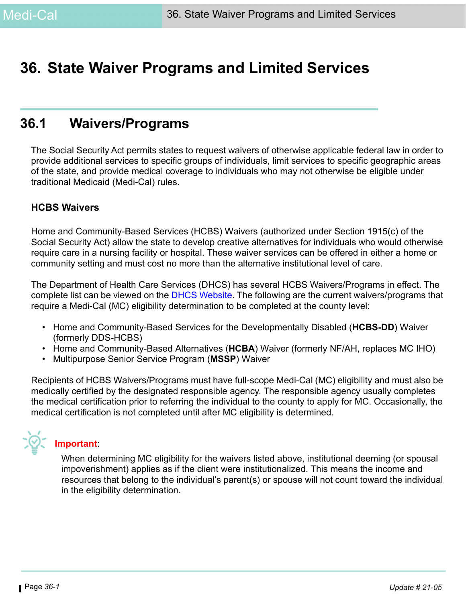# **36. State Waiver Programs and Limited Services**

# **36.1 Waivers/Programs**

The Social Security Act permits states to request waivers of otherwise applicable federal law in order to provide additional services to specific groups of individuals, limit services to specific geographic areas of the state, and provide medical coverage to individuals who may not otherwise be eligible under traditional Medicaid (Medi-Cal) rules.

#### **HCBS Waivers**

Home and Community-Based Services (HCBS) Waivers (authorized under Section 1915(c) of the Social Security Act) allow the state to develop creative alternatives for individuals who would otherwise require care in a nursing facility or hospital. These waiver services can be offered in either a home or community setting and must cost no more than the alternative institutional level of care.

The Department of Health Care Services (DHCS) has several HCBS Waivers/Programs in effect. The complete list can be viewed on the [DHCS Website](https://www.dhcs.ca.gov/services/Pages/medi-calwaivers.aspx). The following are the current waivers/programs that require a Medi-Cal (MC) eligibility determination to be completed at the county level:

- Home and Community-Based Services for the Developmentally Disabled (**HCBS-DD**) Waiver (formerly DDS-HCBS)
- Home and Community-Based Alternatives (**HCBA**) Waiver (formerly NF/AH, replaces MC IHO)
- Multipurpose Senior Service Program (**MSSP**) Waiver

Recipients of HCBS Waivers/Programs must have full-scope Medi-Cal (MC) eligibility and must also be medically certified by the designated responsible agency. The responsible agency usually completes the medical certification prior to referring the individual to the county to apply for MC. Occasionally, the medical certification is not completed until after MC eligibility is determined.

**Important**:

When determining MC eligibility for the waivers listed above, institutional deeming (or spousal impoverishment) applies as if the client were institutionalized. This means the income and resources that belong to the individual's parent(s) or spouse will not count toward the individual in the eligibility determination.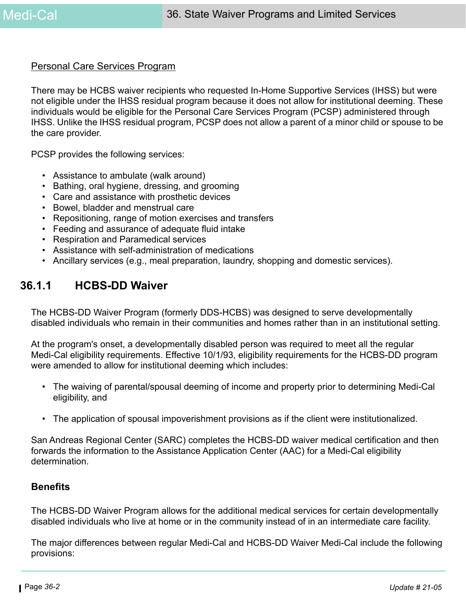#### Personal Care Services Program

There may be HCBS waiver recipients who requested In-Home Supportive Services (IHSS) but were not eligible under the IHSS residual program because it does not allow for institutional deeming. These individuals would be eligible for the Personal Care Services Program (PCSP) administered through IHSS. Unlike the IHSS residual program, PCSP does not allow a parent of a minor child or spouse to be the care provider.

PCSP provides the following services:

- Assistance to ambulate (walk around)
- Bathing, oral hygiene, dressing, and grooming
- Care and assistance with prosthetic devices
- Bowel, bladder and menstrual care
- Repositioning, range of motion exercises and transfers
- Feeding and assurance of adequate fluid intake
- Respiration and Paramedical services
- Assistance with self-administration of medications
- Ancillary services (e.g., meal preparation, laundry, shopping and domestic services).

### **36.1.1 HCBS-DD Waiver**

The HCBS-DD Waiver Program (formerly DDS-HCBS) was designed to serve developmentally disabled individuals who remain in their communities and homes rather than in an institutional setting.

At the program's onset, a developmentally disabled person was required to meet all the regular Medi-Cal eligibility requirements. Effective 10/1/93, eligibility requirements for the HCBS-DD program were amended to allow for institutional deeming which includes:

- The waiving of parental/spousal deeming of income and property prior to determining Medi-Cal eligibility, and
- The application of spousal impoverishment provisions as if the client were institutionalized.

San Andreas Regional Center (SARC) completes the HCBS-DD waiver medical certification and then forwards the information to the Assistance Application Center (AAC) for a Medi-Cal eligibility determination.

#### **Benefits**

The HCBS-DD Waiver Program allows for the additional medical services for certain developmentally disabled individuals who live at home or in the community instead of in an intermediate care facility.

The major differences between regular Medi-Cal and HCBS-DD Waiver Medi-Cal include the following provisions: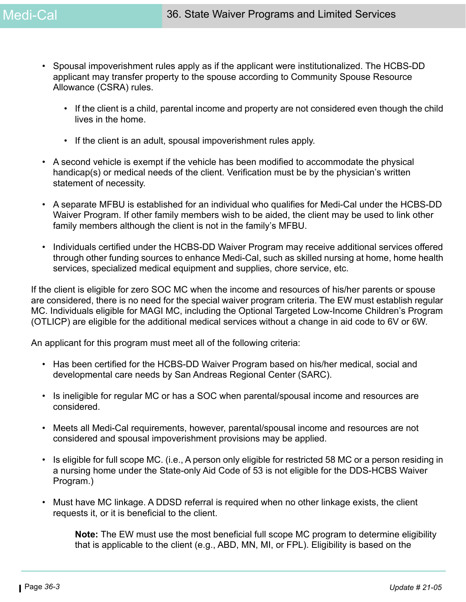- Spousal impoverishment rules apply as if the applicant were institutionalized. The HCBS-DD applicant may transfer property to the spouse according to Community Spouse Resource Allowance (CSRA) rules.
	- If the client is a child, parental income and property are not considered even though the child lives in the home.
	- If the client is an adult, spousal impoverishment rules apply.
- A second vehicle is exempt if the vehicle has been modified to accommodate the physical handicap(s) or medical needs of the client. Verification must be by the physician's written statement of necessity.
- A separate MFBU is established for an individual who qualifies for Medi-Cal under the HCBS-DD Waiver Program. If other family members wish to be aided, the client may be used to link other family members although the client is not in the family's MFBU.
- Individuals certified under the HCBS-DD Waiver Program may receive additional services offered through other funding sources to enhance Medi-Cal, such as skilled nursing at home, home health services, specialized medical equipment and supplies, chore service, etc.

If the client is eligible for zero SOC MC when the income and resources of his/her parents or spouse are considered, there is no need for the special waiver program criteria. The EW must establish regular MC. Individuals eligible for MAGI MC, including the Optional Targeted Low-Income Children's Program (OTLICP) are eligible for the additional medical services without a change in aid code to 6V or 6W.

An applicant for this program must meet all of the following criteria:

- Has been certified for the HCBS-DD Waiver Program based on his/her medical, social and developmental care needs by San Andreas Regional Center (SARC).
- Is ineligible for regular MC or has a SOC when parental/spousal income and resources are considered.
- Meets all Medi-Cal requirements, however, parental/spousal income and resources are not considered and spousal impoverishment provisions may be applied.
- Is eligible for full scope MC. (i.e., A person only eligible for restricted 58 MC or a person residing in a nursing home under the State-only Aid Code of 53 is not eligible for the DDS-HCBS Waiver Program.)
- Must have MC linkage. A DDSD referral is required when no other linkage exists, the client requests it, or it is beneficial to the client.

**Note:** The EW must use the most beneficial full scope MC program to determine eligibility that is applicable to the client (e.g., ABD, MN, MI, or FPL). Eligibility is based on the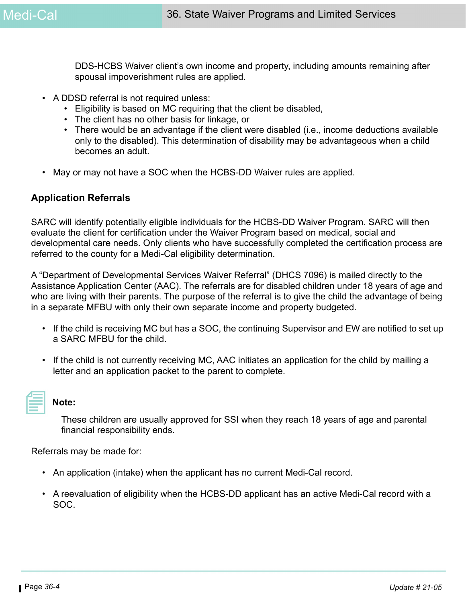DDS-HCBS Waiver client's own income and property, including amounts remaining after spousal impoverishment rules are applied.

- A DDSD referral is not required unless:
	- Eligibility is based on MC requiring that the client be disabled,
	- The client has no other basis for linkage, or
	- There would be an advantage if the client were disabled (i.e., income deductions available only to the disabled). This determination of disability may be advantageous when a child becomes an adult.
- May or may not have a SOC when the HCBS-DD Waiver rules are applied.

#### **Application Referrals**

SARC will identify potentially eligible individuals for the HCBS-DD Waiver Program. SARC will then evaluate the client for certification under the Waiver Program based on medical, social and developmental care needs. Only clients who have successfully completed the certification process are referred to the county for a Medi-Cal eligibility determination.

A "Department of Developmental Services Waiver Referral" (DHCS 7096) is mailed directly to the Assistance Application Center (AAC). The referrals are for disabled children under 18 years of age and who are living with their parents. The purpose of the referral is to give the child the advantage of being in a separate MFBU with only their own separate income and property budgeted.

- If the child is receiving MC but has a SOC, the continuing Supervisor and EW are notified to set up a SARC MFBU for the child.
- If the child is not currently receiving MC, AAC initiates an application for the child by mailing a letter and an application packet to the parent to complete.

#### **Note:**

These children are usually approved for SSI when they reach 18 years of age and parental financial responsibility ends.

Referrals may be made for:

- An application (intake) when the applicant has no current Medi-Cal record.
- A reevaluation of eligibility when the HCBS-DD applicant has an active Medi-Cal record with a SOC.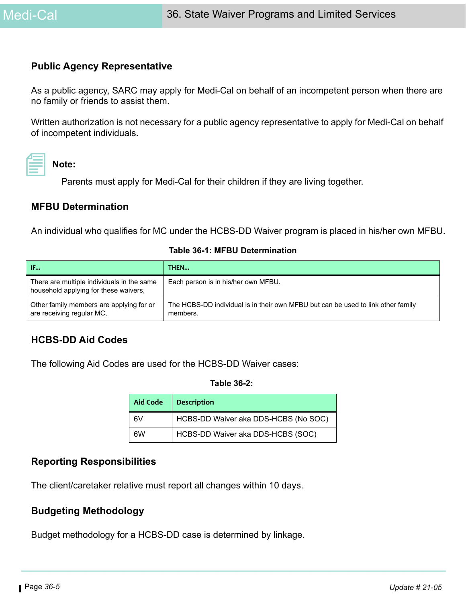#### **Public Agency Representative**

As a public agency, SARC may apply for Medi-Cal on behalf of an incompetent person when there are no family or friends to assist them.

Written authorization is not necessary for a public agency representative to apply for Medi-Cal on behalf of incompetent individuals.

# **Note:**

Parents must apply for Medi-Cal for their children if they are living together.

#### **MFBU Determination**

An individual who qualifies for MC under the HCBS-DD Waiver program is placed in his/her own MFBU.

| IF                                                                                  | THEN                                                                                         |
|-------------------------------------------------------------------------------------|----------------------------------------------------------------------------------------------|
| There are multiple individuals in the same<br>household applying for these waivers, | Each person is in his/her own MFBU.                                                          |
| Other family members are applying for or<br>are receiving regular MC,               | The HCBS-DD individual is in their own MFBU but can be used to link other family<br>members. |

#### **Table 36-1: MFBU Determination**

#### **HCBS-DD Aid Codes**

The following Aid Codes are used for the HCBS-DD Waiver cases:

#### **Table 36-2:**

| <b>Aid Code</b> | <b>Description</b>                   |
|-----------------|--------------------------------------|
| 6V              | HCBS-DD Waiver aka DDS-HCBS (No SOC) |
| 6W              | HCBS-DD Waiver aka DDS-HCBS (SOC)    |

#### **Reporting Responsibilities**

The client/caretaker relative must report all changes within 10 days.

### **Budgeting Methodology**

Budget methodology for a HCBS-DD case is determined by linkage.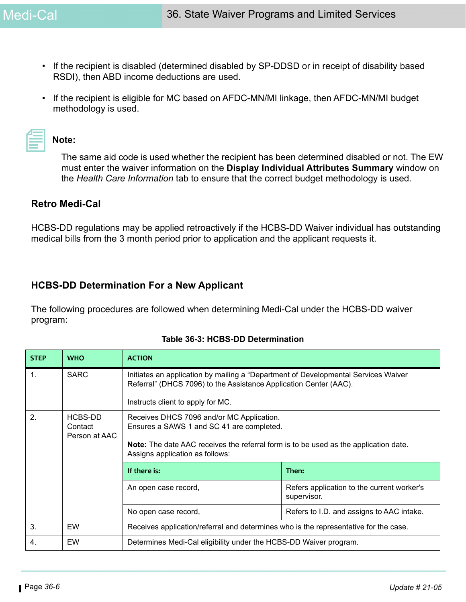- If the recipient is disabled (determined disabled by SP-DDSD or in receipt of disability based RSDI), then ABD income deductions are used.
- If the recipient is eligible for MC based on AFDC-MN/MI linkage, then AFDC-MN/MI budget methodology is used.

|  | <b>Contract Contract Contract Contract</b> |  |  |
|--|--------------------------------------------|--|--|
|  |                                            |  |  |
|  |                                            |  |  |
|  |                                            |  |  |
|  |                                            |  |  |

**Note:** 

The same aid code is used whether the recipient has been determined disabled or not. The EW must enter the waiver information on the **Display Individual Attributes Summary** window on the *Health Care Information* tab to ensure that the correct budget methodology is used.

#### **Retro Medi-Cal**

HCBS-DD regulations may be applied retroactively if the HCBS-DD Waiver individual has outstanding medical bills from the 3 month period prior to application and the applicant requests it.

### **HCBS-DD Determination For a New Applicant**

The following procedures are followed when determining Medi-Cal under the HCBS-DD waiver program:

| <b>STEP</b>    | <b>WHO</b>                          | <b>ACTION</b>                                                                                                                                                                                                            |                                                           |  |
|----------------|-------------------------------------|--------------------------------------------------------------------------------------------------------------------------------------------------------------------------------------------------------------------------|-----------------------------------------------------------|--|
| $\mathbf{1}$ . | <b>SARC</b>                         | Initiates an application by mailing a "Department of Developmental Services Waiver<br>Referral" (DHCS 7096) to the Assistance Application Center (AAC).<br>Instructs client to apply for MC.                             |                                                           |  |
| 2.             | HCBS-DD<br>Contact<br>Person at AAC | Receives DHCS 7096 and/or MC Application.<br>Ensures a SAWS 1 and SC 41 are completed.<br><b>Note:</b> The date AAC receives the referral form is to be used as the application date.<br>Assigns application as follows: |                                                           |  |
|                |                                     | If there is:<br>Then:                                                                                                                                                                                                    |                                                           |  |
|                |                                     | An open case record,                                                                                                                                                                                                     | Refers application to the current worker's<br>supervisor. |  |
|                |                                     | No open case record,                                                                                                                                                                                                     | Refers to I.D. and assigns to AAC intake.                 |  |
| 3.             | EW                                  | Receives application/referral and determines who is the representative for the case.                                                                                                                                     |                                                           |  |
| 4.             | EW                                  | Determines Medi-Cal eligibility under the HCBS-DD Waiver program.                                                                                                                                                        |                                                           |  |

#### **Table 36-3: HCBS-DD Determination**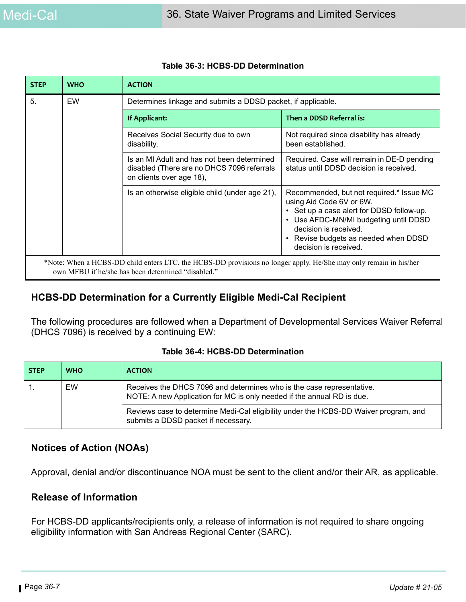| <b>STEP</b> | <b>WHO</b> | <b>ACTION</b>                                                                                                                                                           |                                                                                                                                                                                                                                                      |
|-------------|------------|-------------------------------------------------------------------------------------------------------------------------------------------------------------------------|------------------------------------------------------------------------------------------------------------------------------------------------------------------------------------------------------------------------------------------------------|
| 5.          | EW         | Determines linkage and submits a DDSD packet, if applicable.                                                                                                            |                                                                                                                                                                                                                                                      |
|             |            | If Applicant:                                                                                                                                                           | Then a DDSD Referral is:                                                                                                                                                                                                                             |
|             |            | Receives Social Security due to own<br>disability,                                                                                                                      | Not required since disability has already<br>been established.                                                                                                                                                                                       |
|             |            | Is an MI Adult and has not been determined<br>disabled (There are no DHCS 7096 referrals<br>on clients over age 18),                                                    | Required. Case will remain in DE-D pending<br>status until DDSD decision is received.                                                                                                                                                                |
|             |            | Is an otherwise eligible child (under age 21),                                                                                                                          | Recommended, but not required.* Issue MC<br>using Aid Code 6V or 6W.<br>• Set up a case alert for DDSD follow-up.<br>• Use AFDC-MN/MI budgeting until DDSD<br>decision is received.<br>• Revise budgets as needed when DDSD<br>decision is received. |
|             |            | *Note: When a HCBS-DD child enters LTC, the HCBS-DD provisions no longer apply. He/She may only remain in his/her<br>own MFBU if he/she has been determined "disabled." |                                                                                                                                                                                                                                                      |

#### **Table 36-3: HCBS-DD Determination**

### **HCBS-DD Determination for a Currently Eligible Medi-Cal Recipient**

The following procedures are followed when a Department of Developmental Services Waiver Referral (DHCS 7096) is received by a continuing EW:

| <b>STEP</b> | <b>WHO</b> | <b>ACTION</b>                                                                                                                                   |
|-------------|------------|-------------------------------------------------------------------------------------------------------------------------------------------------|
|             | EW         | Receives the DHCS 7096 and determines who is the case representative.<br>NOTE: A new Application for MC is only needed if the annual RD is due. |
|             |            | Reviews case to determine Medi-Cal eligibility under the HCBS-DD Waiver program, and<br>submits a DDSD packet if necessary.                     |

#### **Table 36-4: HCBS-DD Determination**

#### **Notices of Action (NOAs)**

Approval, denial and/or discontinuance NOA must be sent to the client and/or their AR, as applicable.

#### **Release of Information**

For HCBS-DD applicants/recipients only, a release of information is not required to share ongoing eligibility information with San Andreas Regional Center (SARC).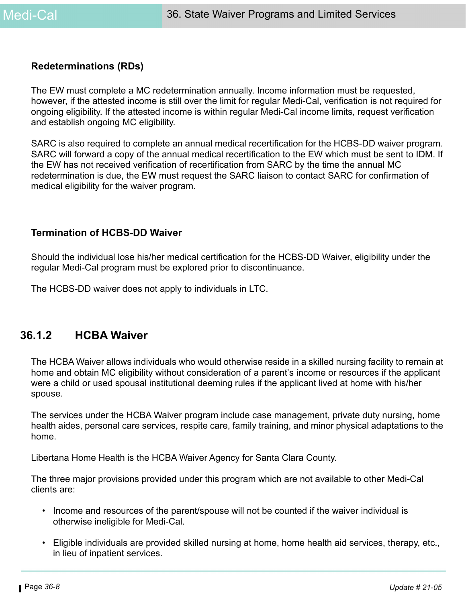#### **Redeterminations (RDs)**

The EW must complete a MC redetermination annually. Income information must be requested, however, if the attested income is still over the limit for regular Medi-Cal, verification is not required for ongoing eligibility. If the attested income is within regular Medi-Cal income limits, request verification and establish ongoing MC eligibility.

SARC is also required to complete an annual medical recertification for the HCBS-DD waiver program. SARC will forward a copy of the annual medical recertification to the EW which must be sent to IDM. If the EW has not received verification of recertification from SARC by the time the annual MC redetermination is due, the EW must request the SARC liaison to contact SARC for confirmation of medical eligibility for the waiver program.

#### **Termination of HCBS-DD Waiver**

Should the individual lose his/her medical certification for the HCBS-DD Waiver, eligibility under the regular Medi-Cal program must be explored prior to discontinuance.

The HCBS-DD waiver does not apply to individuals in LTC.

### **36.1.2 HCBA Waiver**

The HCBA Waiver allows individuals who would otherwise reside in a skilled nursing facility to remain at home and obtain MC eligibility without consideration of a parent's income or resources if the applicant were a child or used spousal institutional deeming rules if the applicant lived at home with his/her spouse.

The services under the HCBA Waiver program include case management, private duty nursing, home health aides, personal care services, respite care, family training, and minor physical adaptations to the home.

Libertana Home Health is the HCBA Waiver Agency for Santa Clara County.

The three major provisions provided under this program which are not available to other Medi-Cal clients are:

- Income and resources of the parent/spouse will not be counted if the waiver individual is otherwise ineligible for Medi-Cal.
- Eligible individuals are provided skilled nursing at home, home health aid services, therapy, etc., in lieu of inpatient services.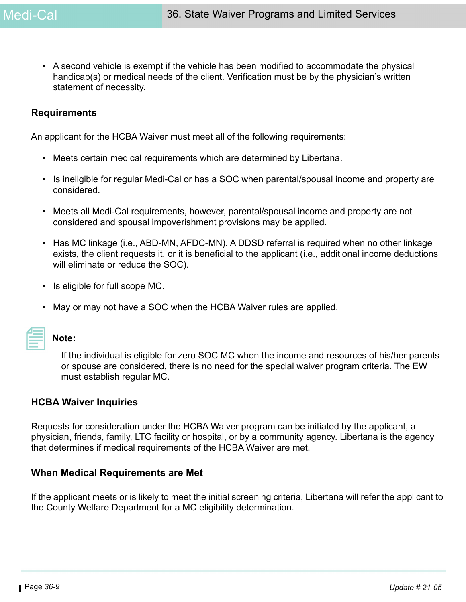• A second vehicle is exempt if the vehicle has been modified to accommodate the physical handicap(s) or medical needs of the client. Verification must be by the physician's written statement of necessity.

#### **Requirements**

An applicant for the HCBA Waiver must meet all of the following requirements:

- Meets certain medical requirements which are determined by Libertana.
- Is ineligible for regular Medi-Cal or has a SOC when parental/spousal income and property are considered.
- Meets all Medi-Cal requirements, however, parental/spousal income and property are not considered and spousal impoverishment provisions may be applied.
- Has MC linkage (i.e., ABD-MN, AFDC-MN). A DDSD referral is required when no other linkage exists, the client requests it, or it is beneficial to the applicant (i.e., additional income deductions will eliminate or reduce the SOC).
- Is eligible for full scope MC.
- May or may not have a SOC when the HCBA Waiver rules are applied.

# **Note:**

If the individual is eligible for zero SOC MC when the income and resources of his/her parents or spouse are considered, there is no need for the special waiver program criteria. The EW must establish regular MC.

#### **HCBA Waiver Inquiries**

Requests for consideration under the HCBA Waiver program can be initiated by the applicant, a physician, friends, family, LTC facility or hospital, or by a community agency. Libertana is the agency that determines if medical requirements of the HCBA Waiver are met.

#### **When Medical Requirements are Met**

If the applicant meets or is likely to meet the initial screening criteria, Libertana will refer the applicant to the County Welfare Department for a MC eligibility determination.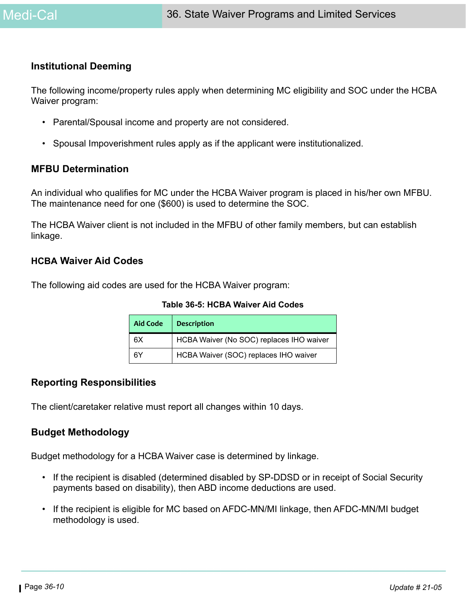#### **Institutional Deeming**

The following income/property rules apply when determining MC eligibility and SOC under the HCBA Waiver program:

- Parental/Spousal income and property are not considered.
- Spousal Impoverishment rules apply as if the applicant were institutionalized.

#### **MFBU Determination**

An individual who qualifies for MC under the HCBA Waiver program is placed in his/her own MFBU. The maintenance need for one (\$600) is used to determine the SOC.

The HCBA Waiver client is not included in the MFBU of other family members, but can establish linkage.

#### **HCBA Waiver Aid Codes**

The following aid codes are used for the HCBA Waiver program:

**Table 36-5: HCBA Waiver Aid Codes**

| <b>Aid Code</b> | <b>Description</b>                       |
|-----------------|------------------------------------------|
| 6X              | HCBA Waiver (No SOC) replaces IHO waiver |
| 6Y              | HCBA Waiver (SOC) replaces IHO waiver    |

#### **Reporting Responsibilities**

The client/caretaker relative must report all changes within 10 days.

#### **Budget Methodology**

Budget methodology for a HCBA Waiver case is determined by linkage.

- If the recipient is disabled (determined disabled by SP-DDSD or in receipt of Social Security payments based on disability), then ABD income deductions are used.
- If the recipient is eligible for MC based on AFDC-MN/MI linkage, then AFDC-MN/MI budget methodology is used.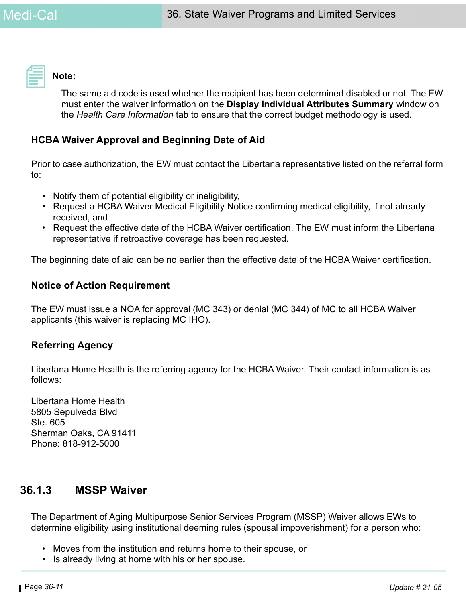

#### **Note:**

The same aid code is used whether the recipient has been determined disabled or not. The EW must enter the waiver information on the **Display Individual Attributes Summary** window on the *Health Care Information* tab to ensure that the correct budget methodology is used.

#### **HCBA Waiver Approval and Beginning Date of Aid**

Prior to case authorization, the EW must contact the Libertana representative listed on the referral form to:

- Notify them of potential eligibility or ineligibility,
- Request a HCBA Waiver Medical Eligibility Notice confirming medical eligibility, if not already received, and
- Request the effective date of the HCBA Waiver certification. The EW must inform the Libertana representative if retroactive coverage has been requested.

The beginning date of aid can be no earlier than the effective date of the HCBA Waiver certification.

#### **Notice of Action Requirement**

The EW must issue a NOA for approval (MC 343) or denial (MC 344) of MC to all HCBA Waiver applicants (this waiver is replacing MC IHO).

#### **Referring Agency**

Libertana Home Health is the referring agency for the HCBA Waiver. Their contact information is as follows:

Libertana Home Health 5805 Sepulveda Blvd Ste. 605 Sherman Oaks, CA 91411 Phone: 818-912-5000

### **36.1.3 MSSP Waiver**

The Department of Aging Multipurpose Senior Services Program (MSSP) Waiver allows EWs to determine eligibility using institutional deeming rules (spousal impoverishment) for a person who:

- Moves from the institution and returns home to their spouse, or
- Is already living at home with his or her spouse.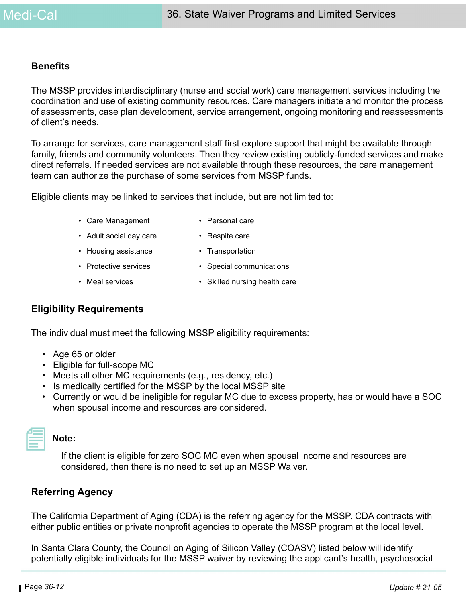#### **Benefits**

The MSSP provides interdisciplinary (nurse and social work) care management services including the coordination and use of existing community resources. Care managers initiate and monitor the process of assessments, case plan development, service arrangement, ongoing monitoring and reassessments of client's needs.

To arrange for services, care management staff first explore support that might be available through family, friends and community volunteers. Then they review existing publicly-funded services and make direct referrals. If needed services are not available through these resources, the care management team can authorize the purchase of some services from MSSP funds.

Eligible clients may be linked to services that include, but are not limited to:

- Care Management Personal care
	-
- Adult social day care Respite care
	-
- 
- Housing assistance Transportation
- Protective services Special communications
- Meal services Skilled nursing health care

#### **Eligibility Requirements**

The individual must meet the following MSSP eligibility requirements:

- Age 65 or older
- Eligible for full-scope MC
- Meets all other MC requirements (e.g., residency, etc.)
- Is medically certified for the MSSP by the local MSSP site
- Currently or would be ineligible for regular MC due to excess property, has or would have a SOC when spousal income and resources are considered.



#### **Note:**

If the client is eligible for zero SOC MC even when spousal income and resources are considered, then there is no need to set up an MSSP Waiver.

#### **Referring Agency**

The California Department of Aging (CDA) is the referring agency for the MSSP. CDA contracts with either public entities or private nonprofit agencies to operate the MSSP program at the local level.

In Santa Clara County, the Council on Aging of Silicon Valley (COASV) listed below will identify potentially eligible individuals for the MSSP waiver by reviewing the applicant's health, psychosocial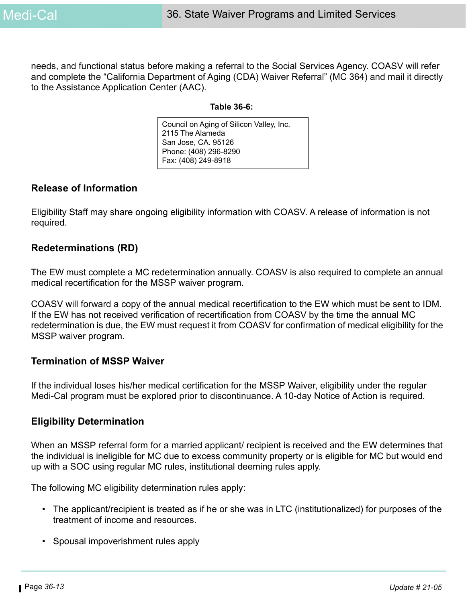needs, and functional status before making a referral to the Social Services Agency. COASV will refer and complete the "California Department of Aging (CDA) Waiver Referral" (MC 364) and mail it directly to the Assistance Application Center (AAC).

#### **Table 36-6:**

Council on Aging of Silicon Valley, Inc. 2115 The Alameda San Jose, CA. 95126 Phone: (408) 296-8290 Fax: (408) 249-8918

#### **Release of Information**

Eligibility Staff may share ongoing eligibility information with COASV. A release of information is not required.

#### **Redeterminations (RD)**

The EW must complete a MC redetermination annually. COASV is also required to complete an annual medical recertification for the MSSP waiver program.

COASV will forward a copy of the annual medical recertification to the EW which must be sent to IDM. If the EW has not received verification of recertification from COASV by the time the annual MC redetermination is due, the EW must request it from COASV for confirmation of medical eligibility for the MSSP waiver program.

#### **Termination of MSSP Waiver**

If the individual loses his/her medical certification for the MSSP Waiver, eligibility under the regular Medi-Cal program must be explored prior to discontinuance. A 10-day Notice of Action is required.

#### **Eligibility Determination**

When an MSSP referral form for a married applicant/ recipient is received and the EW determines that the individual is ineligible for MC due to excess community property or is eligible for MC but would end up with a SOC using regular MC rules, institutional deeming rules apply.

The following MC eligibility determination rules apply:

- The applicant/recipient is treated as if he or she was in LTC (institutionalized) for purposes of the treatment of income and resources.
- Spousal impoverishment rules apply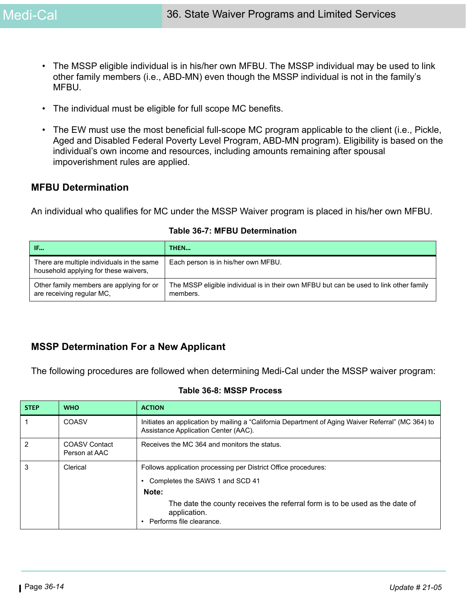- The MSSP eligible individual is in his/her own MFBU. The MSSP individual may be used to link other family members (i.e., ABD-MN) even though the MSSP individual is not in the family's MFBU.
- The individual must be eligible for full scope MC benefits.
- The EW must use the most beneficial full-scope MC program applicable to the client (i.e., Pickle, Aged and Disabled Federal Poverty Level Program, ABD-MN program). Eligibility is based on the individual's own income and resources, including amounts remaining after spousal impoverishment rules are applied.

#### **MFBU Determination**

An individual who qualifies for MC under the MSSP Waiver program is placed in his/her own MFBU.

| IF                                                                                  | THEN                                                                                               |
|-------------------------------------------------------------------------------------|----------------------------------------------------------------------------------------------------|
| There are multiple individuals in the same<br>household applying for these waivers, | Each person is in his/her own MFBU.                                                                |
| Other family members are applying for or<br>are receiving regular MC,               | The MSSP eligible individual is in their own MFBU but can be used to link other family<br>members. |

#### **Table 36-7: MFBU Determination**

#### **MSSP Determination For a New Applicant**

The following procedures are followed when determining Medi-Cal under the MSSP waiver program:

#### **Table 36-8: MSSP Process**

| <b>STEP</b>    | <b>WHO</b>                            | <b>ACTION</b>                                                                                                                                                                                                                         |
|----------------|---------------------------------------|---------------------------------------------------------------------------------------------------------------------------------------------------------------------------------------------------------------------------------------|
|                | COASV                                 | Initiates an application by mailing a "California Department of Aging Waiver Referral" (MC 364) to<br>Assistance Application Center (AAC).                                                                                            |
| $\overline{2}$ | <b>COASV Contact</b><br>Person at AAC | Receives the MC 364 and monitors the status.                                                                                                                                                                                          |
| 3              | Clerical                              | Follows application processing per District Office procedures:<br>Completes the SAWS 1 and SCD 41<br>Note:<br>The date the county receives the referral form is to be used as the date of<br>application.<br>Performs file clearance. |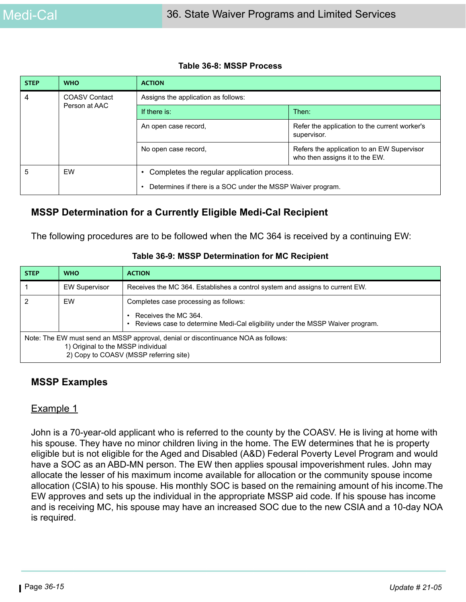#### **Table 36-8: MSSP Process**

| <b>STEP</b> | <b>WHO</b>           | <b>ACTION</b>                                                            |                                                                              |
|-------------|----------------------|--------------------------------------------------------------------------|------------------------------------------------------------------------------|
| 4           | <b>COASV Contact</b> | Assigns the application as follows:                                      |                                                                              |
|             | Person at AAC        | If there is:                                                             | Then:                                                                        |
|             |                      | An open case record,                                                     | Refer the application to the current worker's<br>supervisor.                 |
|             |                      | No open case record,                                                     | Refers the application to an EW Supervisor<br>who then assigns it to the EW. |
| 5           | EW                   | Completes the regular application process.                               |                                                                              |
|             |                      | Determines if there is a SOC under the MSSP Waiver program.<br>$\bullet$ |                                                                              |

### **MSSP Determination for a Currently Eligible Medi-Cal Recipient**

The following procedures are to be followed when the MC 364 is received by a continuing EW:

#### **Table 36-9: MSSP Determination for MC Recipient**

| <b>STEP</b>                                                                                                                                                       | <b>WHO</b>           | <b>ACTION</b>                                                                                                                                  |
|-------------------------------------------------------------------------------------------------------------------------------------------------------------------|----------------------|------------------------------------------------------------------------------------------------------------------------------------------------|
|                                                                                                                                                                   | <b>EW Supervisor</b> | Receives the MC 364. Establishes a control system and assigns to current EW.                                                                   |
| 2                                                                                                                                                                 | EW                   | Completes case processing as follows:<br>Receives the MC 364.<br>Reviews case to determine Medi-Cal eligibility under the MSSP Waiver program. |
| Note: The EW must send an MSSP approval, denial or discontinuance NOA as follows:<br>1) Original to the MSSP individual<br>2) Copy to COASV (MSSP referring site) |                      |                                                                                                                                                |

#### **MSSP Examples**

#### Example 1

John is a 70-year-old applicant who is referred to the county by the COASV. He is living at home with his spouse. They have no minor children living in the home. The EW determines that he is property eligible but is not eligible for the Aged and Disabled (A&D) Federal Poverty Level Program and would have a SOC as an ABD-MN person. The EW then applies spousal impoverishment rules. John may allocate the lesser of his maximum income available for allocation or the community spouse income allocation (CSIA) to his spouse. His monthly SOC is based on the remaining amount of his income.The EW approves and sets up the individual in the appropriate MSSP aid code. If his spouse has income and is receiving MC, his spouse may have an increased SOC due to the new CSIA and a 10-day NOA is required.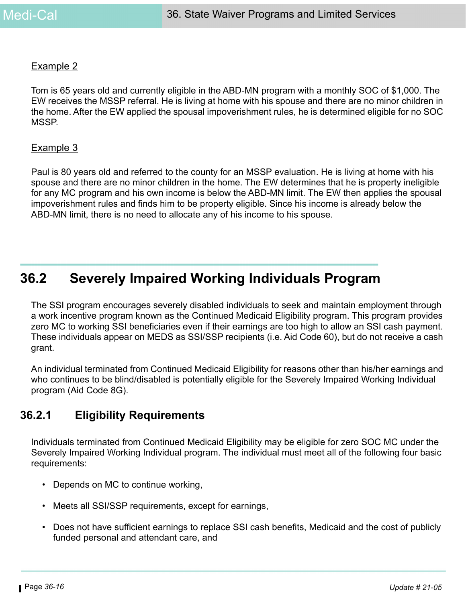#### Example 2

Tom is 65 years old and currently eligible in the ABD-MN program with a monthly SOC of \$1,000. The EW receives the MSSP referral. He is living at home with his spouse and there are no minor children in the home. After the EW applied the spousal impoverishment rules, he is determined eligible for no SOC MSSP.

#### Example 3

Paul is 80 years old and referred to the county for an MSSP evaluation. He is living at home with his spouse and there are no minor children in the home. The EW determines that he is property ineligible for any MC program and his own income is below the ABD-MN limit. The EW then applies the spousal impoverishment rules and finds him to be property eligible. Since his income is already below the ABD-MN limit, there is no need to allocate any of his income to his spouse.

# **36.2 Severely Impaired Working Individuals Program**

The SSI program encourages severely disabled individuals to seek and maintain employment through a work incentive program known as the Continued Medicaid Eligibility program. This program provides zero MC to working SSI beneficiaries even if their earnings are too high to allow an SSI cash payment. These individuals appear on MEDS as SSI/SSP recipients (i.e. Aid Code 60), but do not receive a cash grant.

An individual terminated from Continued Medicaid Eligibility for reasons other than his/her earnings and who continues to be blind/disabled is potentially eligible for the Severely Impaired Working Individual program (Aid Code 8G).

### **36.2.1 Eligibility Requirements**

Individuals terminated from Continued Medicaid Eligibility may be eligible for zero SOC MC under the Severely Impaired Working Individual program. The individual must meet all of the following four basic requirements:

- Depends on MC to continue working,
- Meets all SSI/SSP requirements, except for earnings,
- Does not have sufficient earnings to replace SSI cash benefits, Medicaid and the cost of publicly funded personal and attendant care, and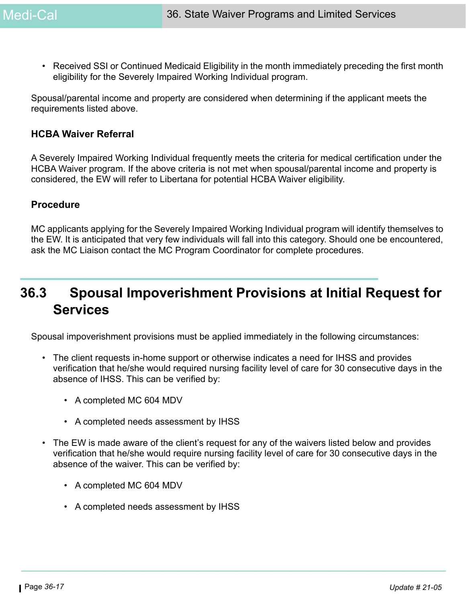• Received SSI or Continued Medicaid Eligibility in the month immediately preceding the first month eligibility for the Severely Impaired Working Individual program.

Spousal/parental income and property are considered when determining if the applicant meets the requirements listed above.

#### **HCBA Waiver Referral**

A Severely Impaired Working Individual frequently meets the criteria for medical certification under the HCBA Waiver program. If the above criteria is not met when spousal/parental income and property is considered, the EW will refer to Libertana for potential HCBA Waiver eligibility.

#### **Procedure**

MC applicants applying for the Severely Impaired Working Individual program will identify themselves to the EW. It is anticipated that very few individuals will fall into this category. Should one be encountered, ask the MC Liaison contact the MC Program Coordinator for complete procedures.

# **36.3 Spousal Impoverishment Provisions at Initial Request for Services**

Spousal impoverishment provisions must be applied immediately in the following circumstances:

- The client requests in-home support or otherwise indicates a need for IHSS and provides verification that he/she would required nursing facility level of care for 30 consecutive days in the absence of IHSS. This can be verified by:
	- A completed MC 604 MDV
	- A completed needs assessment by IHSS
- The EW is made aware of the client's request for any of the waivers listed below and provides verification that he/she would require nursing facility level of care for 30 consecutive days in the absence of the waiver. This can be verified by:
	- A completed MC 604 MDV
	- A completed needs assessment by IHSS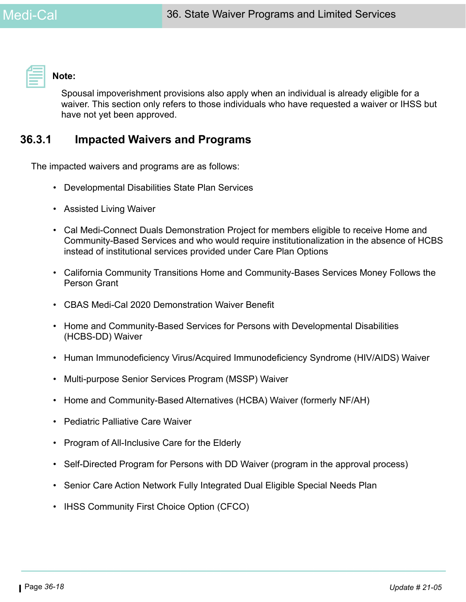

#### **Note:**

Spousal impoverishment provisions also apply when an individual is already eligible for a waiver. This section only refers to those individuals who have requested a waiver or IHSS but have not yet been approved.

### **36.3.1 Impacted Waivers and Programs**

The impacted waivers and programs are as follows:

- Developmental Disabilities State Plan Services
- Assisted Living Waiver
- Cal Medi-Connect Duals Demonstration Project for members eligible to receive Home and Community-Based Services and who would require institutionalization in the absence of HCBS instead of institutional services provided under Care Plan Options
- California Community Transitions Home and Community-Bases Services Money Follows the Person Grant
- CBAS Medi-Cal 2020 Demonstration Waiver Benefit
- Home and Community-Based Services for Persons with Developmental Disabilities (HCBS-DD) Waiver
- Human Immunodeficiency Virus/Acquired Immunodeficiency Syndrome (HIV/AIDS) Waiver
- Multi-purpose Senior Services Program (MSSP) Waiver
- Home and Community-Based Alternatives (HCBA) Waiver (formerly NF/AH)
- Pediatric Palliative Care Waiver
- Program of All-Inclusive Care for the Elderly
- Self-Directed Program for Persons with DD Waiver (program in the approval process)
- Senior Care Action Network Fully Integrated Dual Eligible Special Needs Plan
- IHSS Community First Choice Option (CFCO)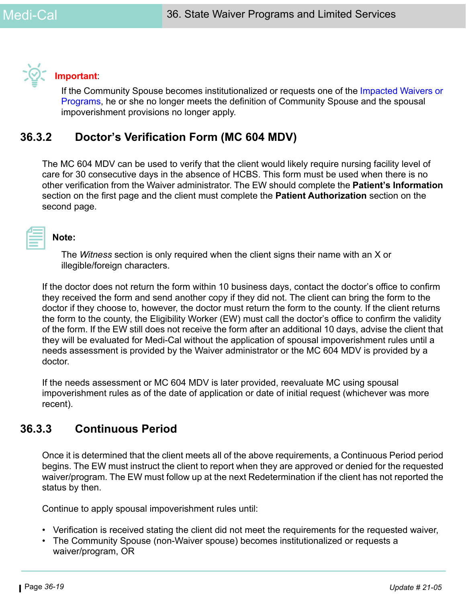

#### **Important**:

If the Community Spouse becomes institutionalized or requests one of the Impacted Waivers or Programs, he or she no longer meets the definition of Community Spouse and the spousal impoverishment provisions no longer apply.

### **36.3.2 Doctor's Verification Form (MC 604 MDV)**

The MC 604 MDV can be used to verify that the client would likely require nursing facility level of care for 30 consecutive days in the absence of HCBS. This form must be used when there is no other verification from the Waiver administrator. The EW should complete the **Patient's Information** section on the first page and the client must complete the **Patient Authorization** section on the second page.

#### **Note:**

The *Witness* section is only required when the client signs their name with an X or illegible/foreign characters.

If the doctor does not return the form within 10 business days, contact the doctor's office to confirm they received the form and send another copy if they did not. The client can bring the form to the doctor if they choose to, however, the doctor must return the form to the county. If the client returns the form to the county, the Eligibility Worker (EW) must call the doctor's office to confirm the validity of the form. If the EW still does not receive the form after an additional 10 days, advise the client that they will be evaluated for Medi-Cal without the application of spousal impoverishment rules until a needs assessment is provided by the Waiver administrator or the MC 604 MDV is provided by a doctor.

If the needs assessment or MC 604 MDV is later provided, reevaluate MC using spousal impoverishment rules as of the date of application or date of initial request (whichever was more recent).

### **36.3.3 Continuous Period**

Once it is determined that the client meets all of the above requirements, a Continuous Period period begins. The EW must instruct the client to report when they are approved or denied for the requested waiver/program. The EW must follow up at the next Redetermination if the client has not reported the status by then.

Continue to apply spousal impoverishment rules until:

- Verification is received stating the client did not meet the requirements for the requested waiver,
- The Community Spouse (non-Waiver spouse) becomes institutionalized or requests a waiver/program, OR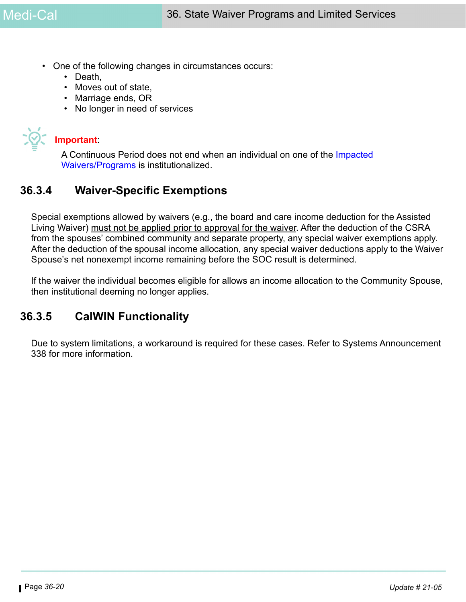- One of the following changes in circumstances occurs:
	- Death,
	- Moves out of state,
	- Marriage ends, OR
	- No longer in need of services



#### **Important**:

A Continuous Period does not end when an individual on one of the Impacted Waivers/Programs is institutionalized.

### **36.3.4 Waiver-Specific Exemptions**

Special exemptions allowed by waivers (e.g., the board and care income deduction for the Assisted Living Waiver) must not be applied prior to approval for the waiver. After the deduction of the CSRA from the spouses' combined community and separate property, any special waiver exemptions apply. After the deduction of the spousal income allocation, any special waiver deductions apply to the Waiver Spouse's net nonexempt income remaining before the SOC result is determined.

If the waiver the individual becomes eligible for allows an income allocation to the Community Spouse, then institutional deeming no longer applies.

### **36.3.5 CalWIN Functionality**

Due to system limitations, a workaround is required for these cases. Refer to Systems Announcement 338 for more information.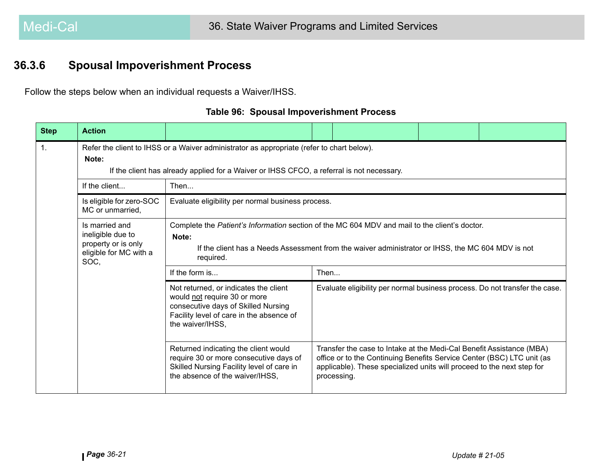## **36.3.6 Spousal Impoverishment Process**

Follow the steps below when an individual requests a Waiver/IHSS.

|  |  | <b>Table 96: Spousal Impoverishment Process</b> |  |
|--|--|-------------------------------------------------|--|
|--|--|-------------------------------------------------|--|

| <b>Step</b>    | <b>Action</b>                                                                                |                                                                                                                                                                                                                          |      |                                                                                                                                                                                                                                         |  |
|----------------|----------------------------------------------------------------------------------------------|--------------------------------------------------------------------------------------------------------------------------------------------------------------------------------------------------------------------------|------|-----------------------------------------------------------------------------------------------------------------------------------------------------------------------------------------------------------------------------------------|--|
| $\mathbf{1}$ . | Note:                                                                                        | Refer the client to IHSS or a Waiver administrator as appropriate (refer to chart below).<br>If the client has already applied for a Waiver or IHSS CFCO, a referral is not necessary.                                   |      |                                                                                                                                                                                                                                         |  |
|                | If the client                                                                                | Then                                                                                                                                                                                                                     |      |                                                                                                                                                                                                                                         |  |
|                | Is eligible for zero-SOC<br>MC or unmarried,                                                 | Evaluate eligibility per normal business process.                                                                                                                                                                        |      |                                                                                                                                                                                                                                         |  |
|                | Is married and<br>ineligible due to<br>property or is only<br>eligible for MC with a<br>SOC, | Complete the Patient's Information section of the MC 604 MDV and mail to the client's doctor.<br>Note:<br>If the client has a Needs Assessment from the waiver administrator or IHSS, the MC 604 MDV is not<br>required. |      |                                                                                                                                                                                                                                         |  |
|                |                                                                                              | If the form is                                                                                                                                                                                                           | Then |                                                                                                                                                                                                                                         |  |
|                |                                                                                              | Not returned, or indicates the client<br>would not require 30 or more<br>consecutive days of Skilled Nursing<br>Facility level of care in the absence of<br>the waiver/IHSS,                                             |      | Evaluate eligibility per normal business process. Do not transfer the case.                                                                                                                                                             |  |
|                |                                                                                              | Returned indicating the client would<br>require 30 or more consecutive days of<br>Skilled Nursing Facility level of care in<br>the absence of the waiver/IHSS,                                                           |      | Transfer the case to Intake at the Medi-Cal Benefit Assistance (MBA)<br>office or to the Continuing Benefits Service Center (BSC) LTC unit (as<br>applicable). These specialized units will proceed to the next step for<br>processing. |  |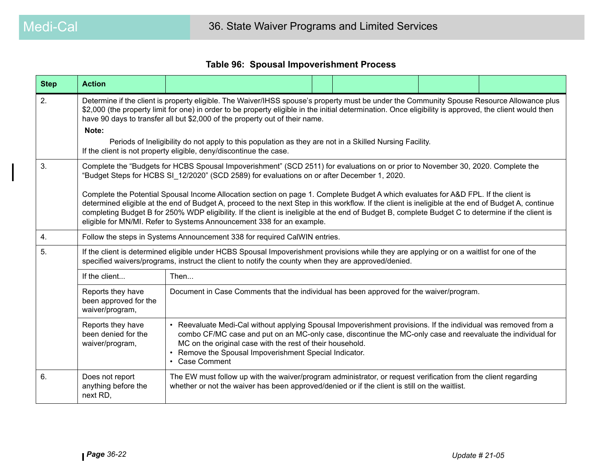#### **Table 96: Spousal Impoverishment Process**

| <b>Step</b> | <b>Action</b>                                                 |                                                                                                                                                                                                                                                                                                                                                                                                                                                                                                                                                                                                                                                                                                                                                             |  |  |
|-------------|---------------------------------------------------------------|-------------------------------------------------------------------------------------------------------------------------------------------------------------------------------------------------------------------------------------------------------------------------------------------------------------------------------------------------------------------------------------------------------------------------------------------------------------------------------------------------------------------------------------------------------------------------------------------------------------------------------------------------------------------------------------------------------------------------------------------------------------|--|--|
| 2.          | Note:                                                         | Determine if the client is property eligible. The Waiver/IHSS spouse's property must be under the Community Spouse Resource Allowance plus<br>\$2,000 (the property limit for one) in order to be property eligible in the initial determination. Once eligibility is approved, the client would then<br>have 90 days to transfer all but \$2,000 of the property out of their name.<br>Periods of Ineligibility do not apply to this population as they are not in a Skilled Nursing Facility.<br>If the client is not property eligible, deny/discontinue the case.                                                                                                                                                                                       |  |  |
| 3.          |                                                               | Complete the "Budgets for HCBS Spousal Impoverishment" (SCD 2511) for evaluations on or prior to November 30, 2020. Complete the<br>"Budget Steps for HCBS SI 12/2020" (SCD 2589) for evaluations on or after December 1, 2020.<br>Complete the Potential Spousal Income Allocation section on page 1. Complete Budget A which evaluates for A&D FPL. If the client is<br>determined eligible at the end of Budget A, proceed to the next Step in this workflow. If the client is ineligible at the end of Budget A, continue<br>completing Budget B for 250% WDP eligibility. If the client is ineligible at the end of Budget B, complete Budget C to determine if the client is<br>eligible for MN/MI. Refer to Systems Announcement 338 for an example. |  |  |
| 4.          |                                                               | Follow the steps in Systems Announcement 338 for required CalWIN entries.                                                                                                                                                                                                                                                                                                                                                                                                                                                                                                                                                                                                                                                                                   |  |  |
| 5.          |                                                               | If the client is determined eligible under HCBS Spousal Impoverishment provisions while they are applying or on a waitlist for one of the<br>specified waivers/programs, instruct the client to notify the county when they are approved/denied.                                                                                                                                                                                                                                                                                                                                                                                                                                                                                                            |  |  |
|             | If the client                                                 | Then                                                                                                                                                                                                                                                                                                                                                                                                                                                                                                                                                                                                                                                                                                                                                        |  |  |
|             | Reports they have<br>been approved for the<br>waiver/program, | Document in Case Comments that the individual has been approved for the waiver/program.                                                                                                                                                                                                                                                                                                                                                                                                                                                                                                                                                                                                                                                                     |  |  |
|             | Reports they have<br>been denied for the<br>waiver/program,   | • Reevaluate Medi-Cal without applying Spousal Impoverishment provisions. If the individual was removed from a<br>combo CF/MC case and put on an MC-only case, discontinue the MC-only case and reevaluate the individual for<br>MC on the original case with the rest of their household.<br>• Remove the Spousal Impoverishment Special Indicator.<br>• Case Comment                                                                                                                                                                                                                                                                                                                                                                                      |  |  |
| 6.          | Does not report<br>anything before the<br>next RD,            | The EW must follow up with the waiver/program administrator, or request verification from the client regarding<br>whether or not the waiver has been approved/denied or if the client is still on the waitlist.                                                                                                                                                                                                                                                                                                                                                                                                                                                                                                                                             |  |  |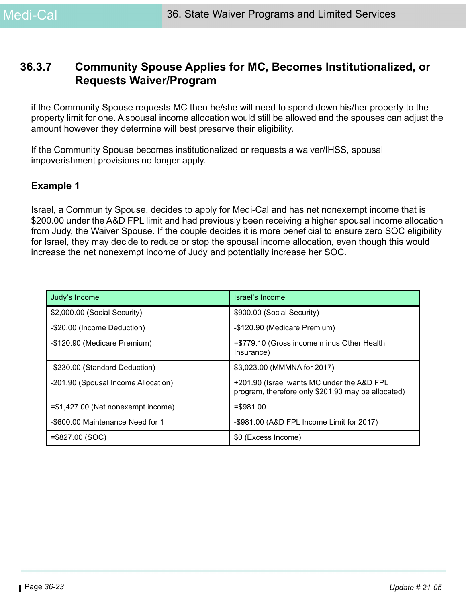### **36.3.7 Community Spouse Applies for MC, Becomes Institutionalized, or Requests Waiver/Program**

if the Community Spouse requests MC then he/she will need to spend down his/her property to the property limit for one. A spousal income allocation would still be allowed and the spouses can adjust the amount however they determine will best preserve their eligibility.

If the Community Spouse becomes institutionalized or requests a waiver/IHSS, spousal impoverishment provisions no longer apply.

#### **Example 1**

Israel, a Community Spouse, decides to apply for Medi-Cal and has net nonexempt income that is \$200.00 under the A&D FPL limit and had previously been receiving a higher spousal income allocation from Judy, the Waiver Spouse. If the couple decides it is more beneficial to ensure zero SOC eligibility for Israel, they may decide to reduce or stop the spousal income allocation, even though this would increase the net nonexempt income of Judy and potentially increase her SOC.

| Judy's Income                        | Israel's Income                                                                                  |
|--------------------------------------|--------------------------------------------------------------------------------------------------|
| \$2,000.00 (Social Security)         | \$900.00 (Social Security)                                                                       |
| -\$20.00 (Income Deduction)          | -\$120.90 (Medicare Premium)                                                                     |
| -\$120.90 (Medicare Premium)         | =\$779.10 (Gross income minus Other Health<br>Insurance)                                         |
| -\$230.00 (Standard Deduction)       | \$3,023.00 (MMMNA for 2017)                                                                      |
| -201.90 (Spousal Income Allocation)  | +201.90 (Israel wants MC under the A&D FPL<br>program, therefore only \$201.90 may be allocated) |
| $= $1,427.00$ (Net nonexempt income) | $= $981.00$                                                                                      |
| -\$600.00 Maintenance Need for 1     | -\$981.00 (A&D FPL Income Limit for 2017)                                                        |
| $= $827.00 (SOC)$                    | \$0 (Excess Income)                                                                              |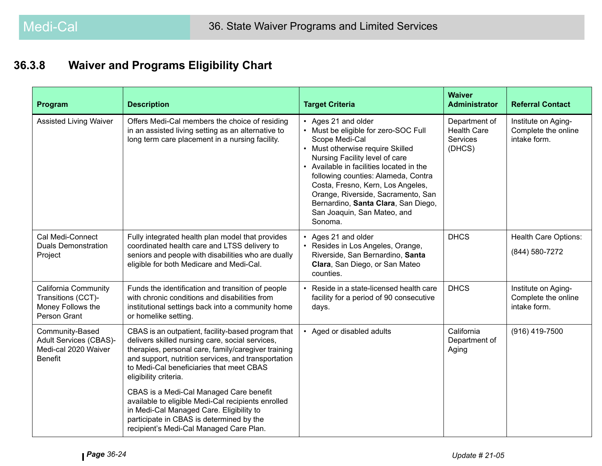#### **36.3.8Waiver and Programs Eligibility Chart**

| Program                                                                                    | <b>Description</b>                                                                                                                                                                                                                                                                       | <b>Target Criteria</b>                                                                                                                                                                                                                                                                                                                                                                             | <b>Waiver</b><br><b>Administrator</b>                            | <b>Referral Contact</b>                                    |
|--------------------------------------------------------------------------------------------|------------------------------------------------------------------------------------------------------------------------------------------------------------------------------------------------------------------------------------------------------------------------------------------|----------------------------------------------------------------------------------------------------------------------------------------------------------------------------------------------------------------------------------------------------------------------------------------------------------------------------------------------------------------------------------------------------|------------------------------------------------------------------|------------------------------------------------------------|
| <b>Assisted Living Waiver</b>                                                              | Offers Medi-Cal members the choice of residing<br>in an assisted living setting as an alternative to<br>long term care placement in a nursing facility.                                                                                                                                  | • Ages 21 and older<br>• Must be eligible for zero-SOC Full<br>Scope Medi-Cal<br>• Must otherwise require Skilled<br>Nursing Facility level of care<br>• Available in facilities located in the<br>following counties: Alameda, Contra<br>Costa, Fresno, Kern, Los Angeles,<br>Orange, Riverside, Sacramento, San<br>Bernardino, Santa Clara, San Diego,<br>San Joaquin, San Mateo, and<br>Sonoma. | Department of<br><b>Health Care</b><br><b>Services</b><br>(DHCS) | Institute on Aging-<br>Complete the online<br>intake form. |
| Cal Medi-Connect<br><b>Duals Demonstration</b><br>Project                                  | Fully integrated health plan model that provides<br>coordinated health care and LTSS delivery to<br>seniors and people with disabilities who are dually<br>eligible for both Medicare and Medi-Cal.                                                                                      | • Ages 21 and older<br>• Resides in Los Angeles, Orange,<br>Riverside, San Bernardino, Santa<br>Clara, San Diego, or San Mateo<br>counties.                                                                                                                                                                                                                                                        | <b>DHCS</b>                                                      | <b>Health Care Options:</b><br>(844) 580-7272              |
| <b>California Community</b><br>Transitions (CCT)-<br>Money Follows the<br>Person Grant     | Funds the identification and transition of people<br>with chronic conditions and disabilities from<br>institutional settings back into a community home<br>or homelike setting.                                                                                                          | Reside in a state-licensed health care<br>facility for a period of 90 consecutive<br>days.                                                                                                                                                                                                                                                                                                         | <b>DHCS</b>                                                      | Institute on Aging-<br>Complete the online<br>intake form. |
| Community-Based<br><b>Adult Services (CBAS)-</b><br>Medi-cal 2020 Waiver<br><b>Benefit</b> | CBAS is an outpatient, facility-based program that<br>delivers skilled nursing care, social services,<br>therapies, personal care, family/caregiver training<br>and support, nutrition services, and transportation<br>to Medi-Cal beneficiaries that meet CBAS<br>eligibility criteria. | • Aged or disabled adults                                                                                                                                                                                                                                                                                                                                                                          | California<br>Department of<br>Aging                             | $(916)$ 419-7500                                           |
|                                                                                            | CBAS is a Medi-Cal Managed Care benefit<br>available to eligible Medi-Cal recipients enrolled<br>in Medi-Cal Managed Care. Eligibility to<br>participate in CBAS is determined by the<br>recipient's Medi-Cal Managed Care Plan.                                                         |                                                                                                                                                                                                                                                                                                                                                                                                    |                                                                  |                                                            |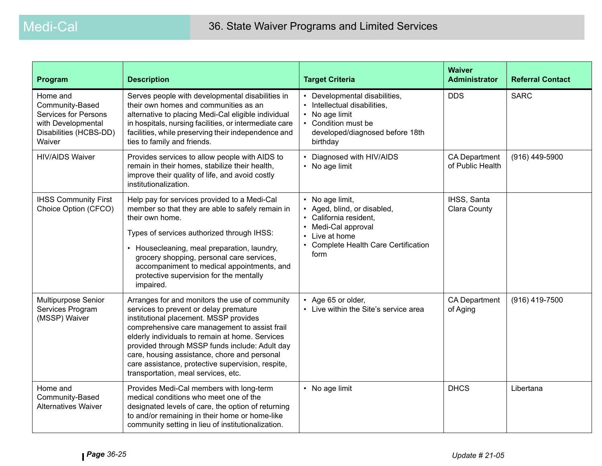| Program                                                                                                              | <b>Description</b>                                                                                                                                                                                                                                                                                                                                                                                                                   | <b>Target Criteria</b>                                                                                                                                               | <b>Waiver</b><br><b>Administrator</b>    | <b>Referral Contact</b> |
|----------------------------------------------------------------------------------------------------------------------|--------------------------------------------------------------------------------------------------------------------------------------------------------------------------------------------------------------------------------------------------------------------------------------------------------------------------------------------------------------------------------------------------------------------------------------|----------------------------------------------------------------------------------------------------------------------------------------------------------------------|------------------------------------------|-------------------------|
| Home and<br>Community-Based<br><b>Services for Persons</b><br>with Developmental<br>Disabilities (HCBS-DD)<br>Waiver | Serves people with developmental disabilities in<br>their own homes and communities as an<br>alternative to placing Medi-Cal eligible individual<br>in hospitals, nursing facilities, or intermediate care<br>facilities, while preserving their independence and<br>ties to family and friends.                                                                                                                                     | • Developmental disabilities,<br>Intellectual disabilities,<br>• No age limit<br>• Condition must be<br>developed/diagnosed before 18th<br>birthday                  | <b>DDS</b>                               | <b>SARC</b>             |
| <b>HIV/AIDS Waiver</b>                                                                                               | Provides services to allow people with AIDS to<br>remain in their homes, stabilize their health,<br>improve their quality of life, and avoid costly<br>institutionalization.                                                                                                                                                                                                                                                         | • Diagnosed with HIV/AIDS<br>• No age limit                                                                                                                          | <b>CA Department</b><br>of Public Health | (916) 449-5900          |
| <b>IHSS Community First</b><br>Choice Option (CFCO)                                                                  | Help pay for services provided to a Medi-Cal<br>member so that they are able to safely remain in<br>their own home.<br>Types of services authorized through IHSS:<br>• Housecleaning, meal preparation, laundry,<br>grocery shopping, personal care services,<br>accompaniment to medical appointments, and<br>protective supervision for the mentally<br>impaired.                                                                  | • No age limit,<br>• Aged, blind, or disabled,<br>• California resident,<br>• Medi-Cal approval<br>Live at home<br><b>Complete Health Care Certification</b><br>form | IHSS, Santa<br><b>Clara County</b>       |                         |
| Multipurpose Senior<br>Services Program<br>(MSSP) Waiver                                                             | Arranges for and monitors the use of community<br>services to prevent or delay premature<br>institutional placement. MSSP provides<br>comprehensive care management to assist frail<br>elderly individuals to remain at home. Services<br>provided through MSSP funds include: Adult day<br>care, housing assistance, chore and personal<br>care assistance, protective supervision, respite,<br>transportation, meal services, etc. | • Age 65 or older,<br>• Live within the Site's service area                                                                                                          | <b>CA Department</b><br>of Aging         | (916) 419-7500          |
| Home and<br>Community-Based<br><b>Alternatives Waiver</b>                                                            | Provides Medi-Cal members with long-term<br>medical conditions who meet one of the<br>designated levels of care, the option of returning<br>to and/or remaining in their home or home-like<br>community setting in lieu of institutionalization.                                                                                                                                                                                     | • No age limit                                                                                                                                                       | <b>DHCS</b>                              | Libertana               |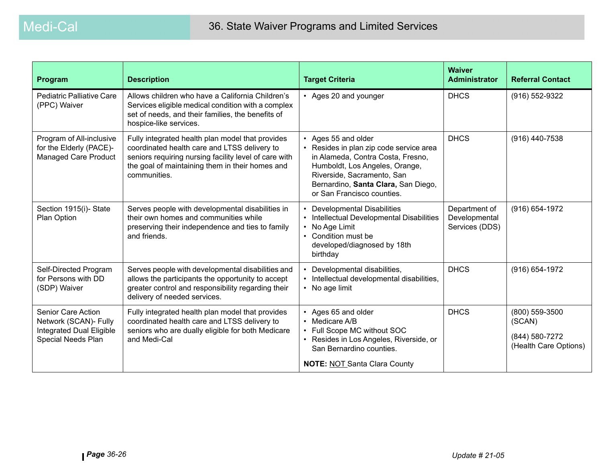| Program                                                                                              | <b>Description</b>                                                                                                                                                                                                           | <b>Target Criteria</b>                                                                                                                                                                                                                   | <b>Waiver</b><br><b>Administrator</b>            | <b>Referral Contact</b>                                             |
|------------------------------------------------------------------------------------------------------|------------------------------------------------------------------------------------------------------------------------------------------------------------------------------------------------------------------------------|------------------------------------------------------------------------------------------------------------------------------------------------------------------------------------------------------------------------------------------|--------------------------------------------------|---------------------------------------------------------------------|
| Pediatric Palliative Care<br>(PPC) Waiver                                                            | Allows children who have a California Children's<br>Services eligible medical condition with a complex<br>set of needs, and their families, the benefits of<br>hospice-like services.                                        | • Ages 20 and younger                                                                                                                                                                                                                    | <b>DHCS</b>                                      | (916) 552-9322                                                      |
| Program of All-inclusive<br>for the Elderly (PACE)-<br><b>Managed Care Product</b>                   | Fully integrated health plan model that provides<br>coordinated health care and LTSS delivery to<br>seniors requiring nursing facility level of care with<br>the goal of maintaining them in their homes and<br>communities. | • Ages 55 and older<br>• Resides in plan zip code service area<br>in Alameda, Contra Costa, Fresno,<br>Humboldt, Los Angeles, Orange,<br>Riverside, Sacramento, San<br>Bernardino, Santa Clara, San Diego,<br>or San Francisco counties. | <b>DHCS</b>                                      | (916) 440-7538                                                      |
| Section 1915(i)-State<br>Plan Option                                                                 | Serves people with developmental disabilities in<br>their own homes and communities while<br>preserving their independence and ties to family<br>and friends.                                                                | • Developmental Disabilities<br>Intellectual Developmental Disabilities<br>No Age Limit<br>Condition must be<br>$\bullet$<br>developed/diagnosed by 18th<br>birthday                                                                     | Department of<br>Developmental<br>Services (DDS) | (916) 654-1972                                                      |
| Self-Directed Program<br>for Persons with DD<br>(SDP) Waiver                                         | Serves people with developmental disabilities and<br>allows the participants the opportunity to accept<br>greater control and responsibility regarding their<br>delivery of needed services.                                 | Developmental disabilities,<br>Intellectual developmental disabilities,<br>• No age limit                                                                                                                                                | <b>DHCS</b>                                      | (916) 654-1972                                                      |
| Senior Care Action<br>Network (SCAN)- Fully<br><b>Integrated Dual Eligible</b><br>Special Needs Plan | Fully integrated health plan model that provides<br>coordinated health care and LTSS delivery to<br>seniors who are dually eligible for both Medicare<br>and Medi-Cal                                                        | • Ages 65 and older<br>• Medicare A/B<br>• Full Scope MC without SOC<br>• Resides in Los Angeles, Riverside, or<br>San Bernardino counties.<br><b>NOTE: NOT Santa Clara County</b>                                                       | <b>DHCS</b>                                      | (800) 559-3500<br>(SCAN)<br>(844) 580-7272<br>(Health Care Options) |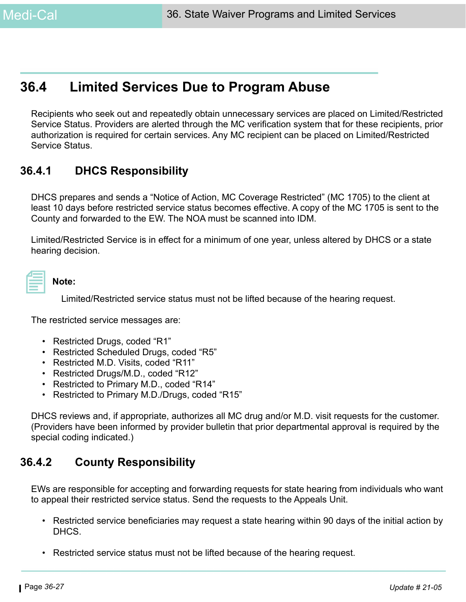# **36.4 Limited Services Due to Program Abuse**

Recipients who seek out and repeatedly obtain unnecessary services are placed on Limited/Restricted Service Status. Providers are alerted through the MC verification system that for these recipients, prior authorization is required for certain services. Any MC recipient can be placed on Limited/Restricted Service Status.

### **36.4.1 DHCS Responsibility**

DHCS prepares and sends a "Notice of Action, MC Coverage Restricted" (MC 1705) to the client at least 10 days before restricted service status becomes effective. A copy of the MC 1705 is sent to the County and forwarded to the EW. The NOA must be scanned into IDM.

Limited/Restricted Service is in effect for a minimum of one year, unless altered by DHCS or a state hearing decision.

| Note: |
|-------|
|-------|

Limited/Restricted service status must not be lifted because of the hearing request.

The restricted service messages are:

- Restricted Drugs, coded "R1"
- Restricted Scheduled Drugs, coded "R5"
- Restricted M.D. Visits, coded "R11"
- Restricted Drugs/M.D., coded "R12"
- Restricted to Primary M.D., coded "R14"
- Restricted to Primary M.D./Drugs, coded "R15"

DHCS reviews and, if appropriate, authorizes all MC drug and/or M.D. visit requests for the customer. (Providers have been informed by provider bulletin that prior departmental approval is required by the special coding indicated.)

### **36.4.2 County Responsibility**

EWs are responsible for accepting and forwarding requests for state hearing from individuals who want to appeal their restricted service status. Send the requests to the Appeals Unit.

- Restricted service beneficiaries may request a state hearing within 90 days of the initial action by DHCS.
- Restricted service status must not be lifted because of the hearing request.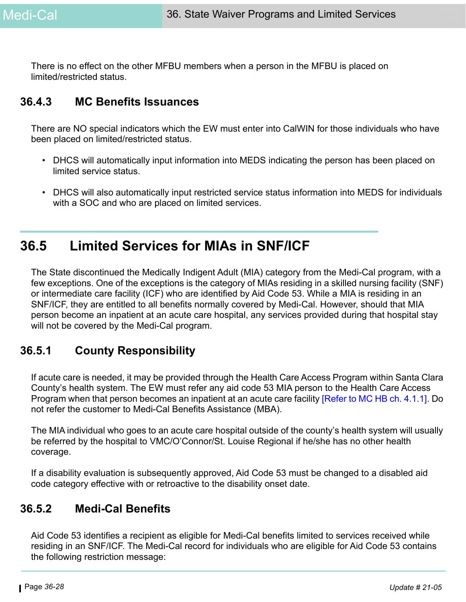There is no effect on the other MFBU members when a person in the MFBU is placed on limited/restricted status.

### **36.4.3 MC Benefits Issuances**

There are NO special indicators which the EW must enter into CalWIN for those individuals who have been placed on limited/restricted status.

- DHCS will automatically input information into MEDS indicating the person has been placed on limited service status.
- DHCS will also automatically input restricted service status information into MEDS for individuals with a SOC and who are placed on limited services.

# **36.5 Limited Services for MIAs in SNF/ICF**

The State discontinued the Medically Indigent Adult (MIA) category from the Medi-Cal program, with a few exceptions. One of the exceptions is the category of MIAs residing in a skilled nursing facility (SNF) or intermediate care facility (ICF) who are identified by Aid Code 53. While a MIA is residing in an SNF/ICF, they are entitled to all benefits normally covered by Medi-Cal. However, should that MIA person become an inpatient at an acute care hospital, any services provided during that hospital stay will not be covered by the Medi-Cal program.

### **36.5.1 County Responsibility**

If acute care is needed, it may be provided through the Health Care Access Program within Santa Clara County's health system. The EW must refer any aid code 53 MIA person to the Health Care Access Program when that person becomes an inpatient at an acute care facility [\[Refer to MC HB ch. 4.1.1\]](https://ssaconnect.sccgov.org/ssa_departments/debs_program/Documents/handbooks/medical/mcchap04.pdf). Do not refer the customer to Medi-Cal Benefits Assistance (MBA).

The MIA individual who goes to an acute care hospital outside of the county's health system will usually be referred by the hospital to VMC/O'Connor/St. Louise Regional if he/she has no other health coverage.

If a disability evaluation is subsequently approved, Aid Code 53 must be changed to a disabled aid code category effective with or retroactive to the disability onset date.

### **36.5.2 Medi-Cal Benefits**

Aid Code 53 identifies a recipient as eligible for Medi-Cal benefits limited to services received while residing in an SNF/ICF. The Medi-Cal record for individuals who are eligible for Aid Code 53 contains the following restriction message: